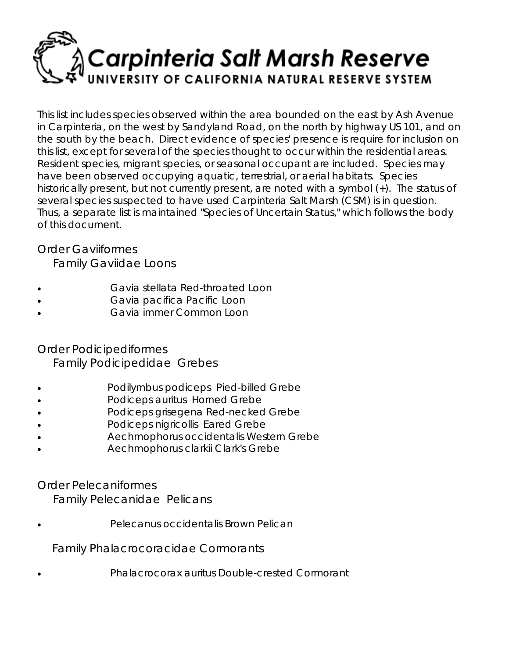# **Carpinteria Salt Marsh Reserve** ERSITY OF CALIFORNIA NATURAL RESERVE SYSTEM

This list includes species observed within the area bounded on the east by Ash Avenue in Carpinteria, on the west by Sandyland Road, on the north by highway US 101, and on the south by the beach. Direct evidence of species' presence is require for inclusion on this list, except for several of the species thought to occur within the residential areas. Resident species, migrant species, or seasonal occupant are included. Species may have been observed occupying aquatic, terrestrial, or aerial habitats. Species historically present, but not currently present, are noted with a symbol (+). The status of several species suspected to have used Carpinteria Salt Marsh (CSM) is in question. Thus, a separate list is maintained "Species of Uncertain Status," which follows the body of this document.

# Order *Gaviiformes*

Family *Gaviidae* Loons

- *Gavia stellata* Red-throated Loon
- *Gavia pacifica* Pacific Loon
- *Gavia immer* Common Loon

# Order *Podicipediformes*

Family *Podicipedidae* Grebes

- *Podilymbus podiceps* Pied-billed Grebe
- *Podiceps auritus* Horned Grebe
- *Podiceps grisegena* Red-necked Grebe
- *Podiceps nigricollis* Eared Grebe
- *Aechmophorus occidentalis* Western Grebe
- *Aechmophorus clarkii* Clark's Grebe

# Order *Pelecaniformes*

Family *Pelecanidae* Pelicans

• *Pelecanus occidentalis* Brown Pelican

Family *Phalacrocoracidae* Cormorants

• *Phalacrocorax auritus* Double-crested Cormorant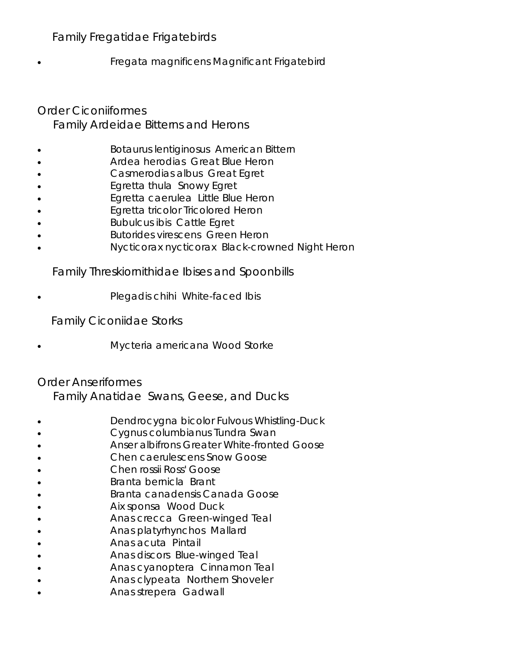# Family *Fregatidae* Frigatebirds

• *Fregata magnificens Magnificant* Frigatebird

# Order *Ciconiiformes* Family *Ardeidae* Bitterns and Herons

- *Botaurus lentiginosus* American Bittern
- *Ardea herodias* Great Blue Heron
- *Casmerodias albus* Great Egret
- *Egretta thula* Snowy Egret
- *Egretta caerulea* Little Blue Heron
- *Egretta tricolor* Tricolored Heron
- *Bubulcus ibis* Cattle Egret
- *Butorides virescens* Green Heron
- *Nycticorax nycticorax* Black-crowned Night Heron

#### Family *Threskiornithidae* Ibises and Spoonbills

• *Plegadis chihi* White-faced Ibis

Family Ciconiidae Storks

• Mycteria americana Wood Storke

# Order *Anseriformes*

Family *Anatidae* Swans, Geese, and Ducks

- *Dendrocygna bicolor Fulvous* Whistling-Duck
- *Cygnus columbianus* Tundra Swan
- *Anser albifrons* Greater White-fronted Goose
- *Chen caerulescens* Snow Goose
- *Chen rossii* Ross' Goose
- *Branta bernicla* Brant
- *Branta canadensis* Canada Goose
- *Aix sponsa* Wood Duck
- *Anas crecca* Green-winged Teal
- *Anas platyrhynchos* Mallard
- *Anas acuta* Pintail
- *Anas discors* Blue-winged Teal
- *Anas cyanoptera* Cinnamon Teal
- *Anas clypeata* Northern Shoveler
- *Anas strepera* Gadwall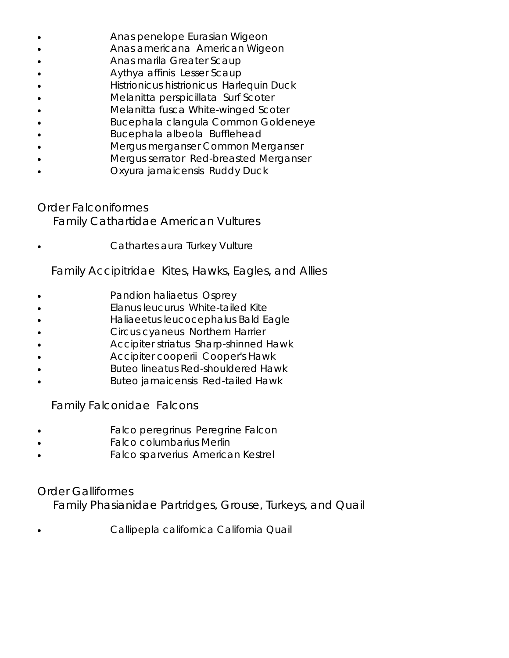- *Anas penelope* Eurasian Wigeon
- *Anas americana* American Wigeon
- *Anas marila* Greater Scaup
- Aythya affinis Lesser Scaup
- *Histrionicus histrionicus* Harlequin Duck
- *Melanitta perspicillata* Surf Scoter
- *Melanitta fusca* White-winged Scoter
- *Bucephala clangula* Common Goldeneye
- • *Bucephala albeola* Bufflehead
- *Mergus merganser* Common Merganser
- *Mergus serrator* Red-breasted Merganser
- *Oxyura jamaicensis* Ruddy Duck

Order *Falconiformes* Family *Cathartidae* American Vultures

• *Cathartes aura* Turkey Vulture

Family *Accipitridae* Kites, Hawks, Eagles, and Allies

- *Pandion haliaetus* Osprey
- *Elanus leucurus* White-tailed Kite
- *Haliaeetus leucocephalus* Bald Eagle
- *Circus cyaneus* Northern Harrier
- *Accipiter striatus* Sharp-shinned Hawk
- *Accipiter cooperii* Cooper's Hawk
- *Buteo lineatus* Red-shouldered Hawk
- • *Buteo jamaicensis* Red-tailed Hawk

Family *Falconidae* Falcons

- *Falco peregrinus* Peregrine Falcon
- *Falco columbarius* Merlin
- *Falco sparverius* American Kestrel

Order *Galliformes*

Family *Phasianidae* Partridges, Grouse, Turkeys, and Quail

• *Callipepla californica* California Quail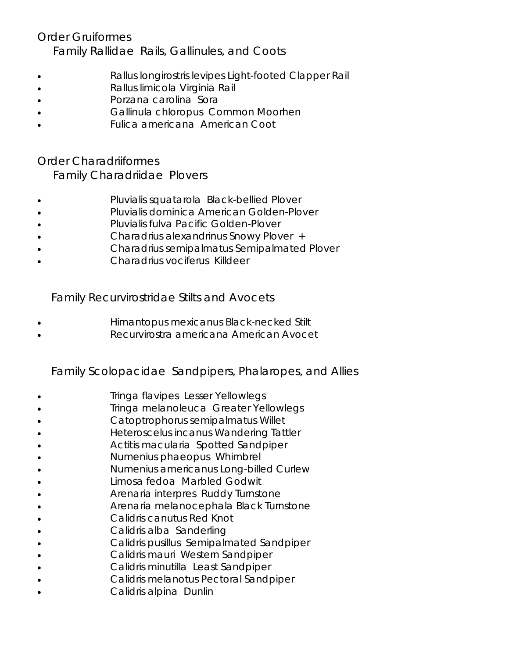Order *Gruiformes* Family *Rallidae* Rails, Gallinules, and Coots

- *Rallus longirostris levipes* Light-footed Clapper Rail
- *Rallus limicola* Virginia Rail
- *Porzana carolina* Sora
- *Gallinula chloropus* Common Moorhen
- *Fulica americana* American Coot

Order *Charadriiformes*  Family *Charadriidae* Plovers

- *Pluvialis squatarola* Black-bellied Plover
- *Pluvialis dominica* American Golden-Plover
- *Pluvialis fulva* Pacific Golden-Plover
- • *Charadrius alexandrinus* Snowy Plover +
- *Charadrius semipalmatus* Semipalmated Plover
- *Charadrius vociferus* Killdeer

Family *Recurvirostridae* Stilts and Avocets

- *Himantopus mexicanus* Black-necked Stilt
- *Recurvirostra americana* American Avocet

Family *Scolopacidae* Sandpipers, Phalaropes, and Allies

- *Tringa flavipes* Lesser Yellowlegs
- *Tringa melanoleuca* Greater Yellowlegs
- *Catoptrophorus semipalmatus* Willet
- *Heteroscelus incanus* Wandering Tattler
- *Actitis macularia* Spotted Sandpiper
- *Numenius phaeopus* Whimbrel
- *Numenius americanus* Long-billed Curlew
- *Limosa fedoa* Marbled Godwit
- *Arenaria interpres* Ruddy Turnstone
- *Arenaria melanocephala* Black Turnstone
- *Calidris canutus* Red Knot
- *Calidris alba* Sanderling
- *Calidris pusillus* Semipalmated Sandpiper
- *Calidris mauri* Western Sandpiper
- *Calidris minutilla* Least Sandpiper
- *Calidris melanotus* Pectoral Sandpiper
- *Calidris alpina* Dunlin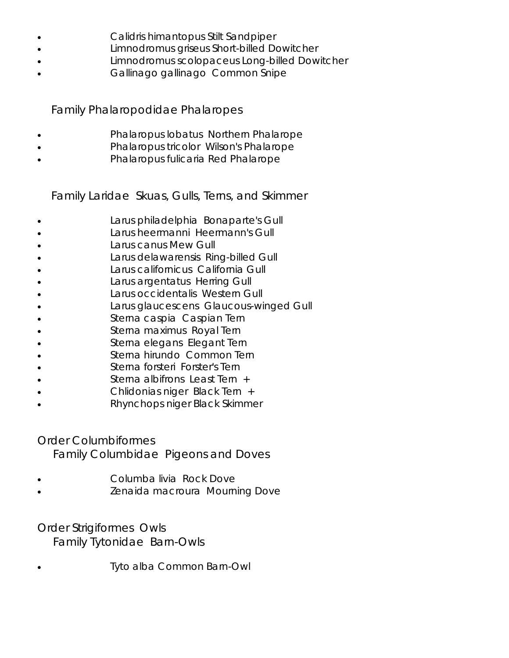- *Calidris himantopus* Stilt Sandpiper
- *Limnodromus griseus* Short-billed Dowitcher
- *Limnodromus scolopaceus* Long-billed Dowitcher
- *Gallinago gallinago* Common Snipe

# Family *Phalaropodidae* Phalaropes

- *Phalaropus lobatus* Northern Phalarope
- *Phalaropus tricolor* Wilson's Phalarope
- *Phalaropus fulicaria* Red Phalarope

Family *Laridae* Skuas, Gulls, Terns, and Skimmer

- *Larus philadelphia* Bonaparte's Gull
- *Larus heermanni* Heermann's Gull
- *Larus canus* Mew Gull
- *Larus delawarensis* Ring-billed Gull
- *Larus californicus* California Gull
- *Larus argentatus* Herring Gull
- • *Larus occidentalis* Western Gull
- Larus glaucescens Glaucous-winged Gull
- *Sterna caspia* Caspian Tern
- *Sterna maximus* Royal Tern
- *Sterna elegans* Elegant Tern
- *Sterna hirundo* Common Tern
- *Sterna forsteri* Forster's Tern
- *Sterna albifrons* Least Tern +
- *Chlidonias niger* Black Tern +
- *Rhynchops niger* Black Skimmer

#### Order *Columbiformes*

Family *Columbidae* Pigeons and Doves

- *Columba livia* Rock Dove
- *Zenaida macroura* Mourning Dove

# Order *Strigiformes* Owls

Family *Tytonidae* Barn-Owls

• *Tyto alba* Common Barn-Owl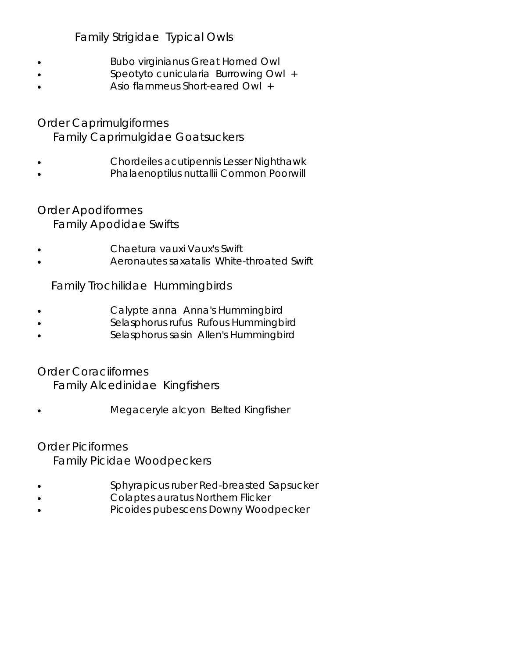# Family *Strigidae* Typical Owls

- *Bubo virginianus* Great Horned Owl
- *Speotyto cunicularia* Burrowing Owl +
- *Asio flammeus* Short-eared Owl +

# Order *Caprimulgiformes* Family *Caprimulgidae* Goatsuckers

- *Chordeiles acutipennis* Lesser Nighthawk
- *Phalaenoptilus nuttallii* Common Poorwill

# Order *Apodiformes*

Family *Apodidae* Swifts

- *Chaetura vauxi* Vaux's Swift
- *Aeronautes saxatalis* White-throated Swift

# Family *Trochilidae* Hummingbirds

- *Calypte anna* Anna's Hummingbird
- *Selasphorus rufus* Rufous Hummingbird
- *Selasphorus sasin* Allen's Hummingbird

# Order *Coraciiformes*

Family *Alcedinidae* Kingfishers

• *Megaceryle alcyon* Belted Kingfisher

# Order *Piciformes*

Family *Picidae* Woodpeckers

- *Sphyrapicus ruber* Red-breasted Sapsucker
- • *Colaptes auratus* Northern Flicker
- • *Picoides pubescens* Downy Woodpecker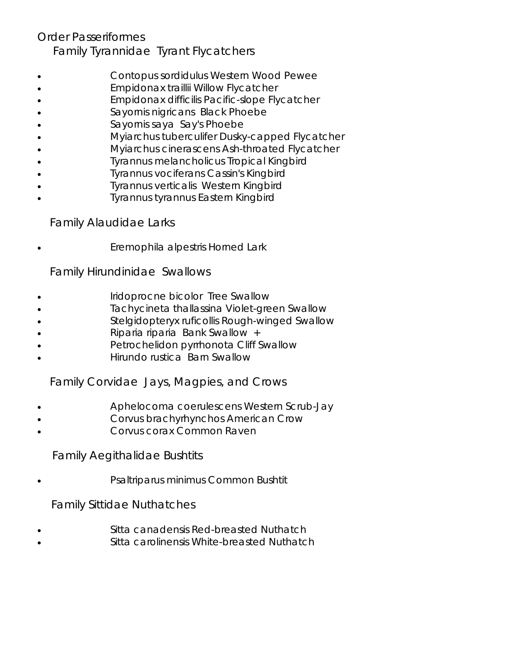# Order *Passeriformes* Family *Tyrannidae* Tyrant Flycatchers

- *Contopus sordidulus* Western Wood Pewee
- *Empidonax traillii* Willow Flycatcher
- *Empidonax difficilis* Pacific-slope Flycatcher
- *Sayornis nigricans* Black Phoebe
- *Sayornis saya* Say's Phoebe
- • *Myiarchus tuberculifer* Dusky-capped Flycatcher
- *Myiarchus cinerascens* Ash-throated Flycatcher
- *Tyrannus melancholicus* Tropical Kingbird
- *Tyrannus vociferans* Cassin's Kingbird
- *Tyrannus verticalis* Western Kingbird
- *Tyrannus tyrannus* Eastern Kingbird

# Family *Alaudidae* Larks

• *Eremophila alpestris* Horned Lark

#### Family *Hirundinidae* Swallows

- *Iridoprocne bicolor* Tree Swallow
- *Tachycineta thallassina* Violet-green Swallow
- *Stelgidopteryx ruficollis* Rough-winged Swallow
- *Riparia riparia* Bank Swallow +
- *Petrochelidon pyrrhonota* Cliff Swallow
- *Hirundo rustica* Barn Swallow

# Family *Corvidae* Jays, Magpies, and Crows

- *Aphelocoma coerulescens* Western Scrub-Jay
- *Corvus brachyrhynchos* American Crow
- *Corvus corax* Common Raven

# Family *Aegithalidae* Bushtits

• *Psaltriparus minimus* Common Bushtit

# Family *Sittidae* Nuthatches

- • *Sitta canadensis* Red-breasted Nuthatch
- *Sitta carolinensis* White-breasted Nuthatch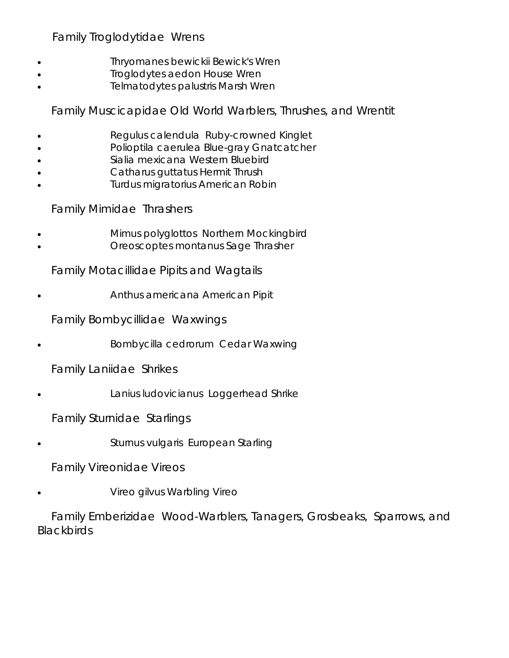Family *Troglodytidae* Wrens

- *Thryomanes bewickii* Bewick's Wren
- *Troglodytes aedon* House Wren
- *Telmatodytes palustris* Marsh Wren

Family *Muscicapidae* Old World Warblers, Thrushes, and Wrentit

- *Regulus calendula* Ruby-crowned Kinglet
- *Polioptila caerulea* Blue-gray Gnatcatcher
- *Sialia mexicana* Western Bluebird
- *Catharus guttatus* Hermit Thrush
- *Turdus migratorius* American Robin

Family *Mimidae* Thrashers

- *Mimus polyglottos* Northern Mockingbird
- *Oreoscoptes montanus* Sage Thrasher

Family *Motacillidae* Pipits and Wagtails

• *Anthus americana* American Pipit

Family *Bombycillidae* Waxwings

• *Bombycilla cedrorum* Cedar Waxwing

Family *Laniidae* Shrikes

• *Lanius ludovicianus* Loggerhead Shrike

Family *Sturnidae* Starlings

• *Sturnus vulgaris* European Starling

Family *Vireonidae* Vireos

• *Vireo gilvus* Warbling Vireo

 Family *Emberizidae* Wood-Warblers, Tanagers, Grosbeaks, Sparrows, and **Blackbirds**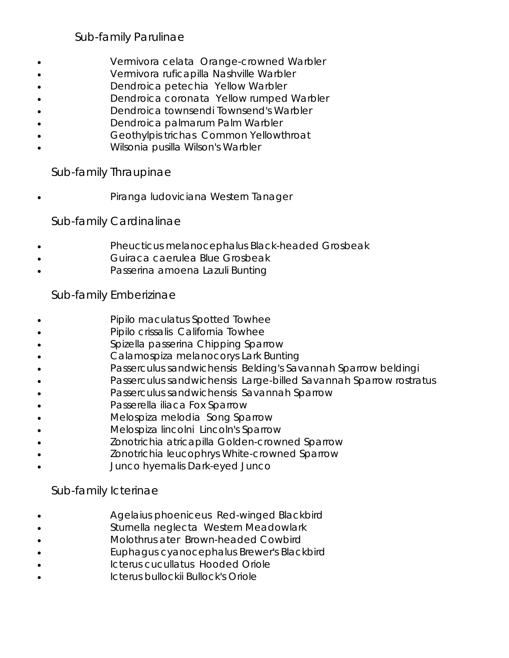# Sub-family *Parulinae*

- *Vermivora celata* Orange-crowned Warbler
- *Vermivora ruficapilla* Nashville Warbler
- *Dendroica petechia* Yellow Warbler
- *Dendroica coronata* Yellow rumped Warbler
- *Dendroica townsendi* Townsend's Warbler
- *Dendroica palmarum* Palm Warbler
- *Geothylpis trichas* Common Yellowthroat
- *Wilsonia pusilla* Wilson's Warbler

#### Sub-family *Thraupinae*

• *Piranga ludoviciana* Western Tanager

#### Sub-family *Cardinalinae*

- *Pheucticus melanocephalus* Black-headed Grosbeak
- *Guiraca caerulea* Blue Grosbeak
- *Passerina amoena* Lazuli Bunting

#### Sub-family *Emberizinae*

- • *Pipilo maculatus* Spotted Towhee
- *Pipilo crissalis* California Towhee
- *Spizella passerina* Chipping Sparrow
- *Calamospiza melanocorys* Lark Bunting
- *Passerculus sandwichensis* Belding's Savannah Sparrow *beldingi*
- *Passerculus sandwichensis* Large-billed Savannah Sparrow *rostratus*
- *Passerculus sandwichensis* Savannah Sparrow
- *Passerella iliaca* Fox Sparrow
- *Melospiza melodia* Song Sparrow
- *Melospiza lincolni* Lincoln's Sparrow
- *Zonotrichia atricapilla* Golden-crowned Sparrow
- *Zonotrichia leucophrys* White-crowned Sparrow
- *Junco hyemalis* Dark-eyed Junco

#### Sub-family *Icterinae*

- *Agelaius phoeniceus* Red-winged Blackbird
- *Sturnella neglecta* Western Meadowlark
- *Molothrus ater* Brown-headed Cowbird
- *Euphagus cyanocephalus* Brewer's Blackbird
- *Icterus cucullatus* Hooded Oriole
- *Icterus bullockii* Bullock's Oriole